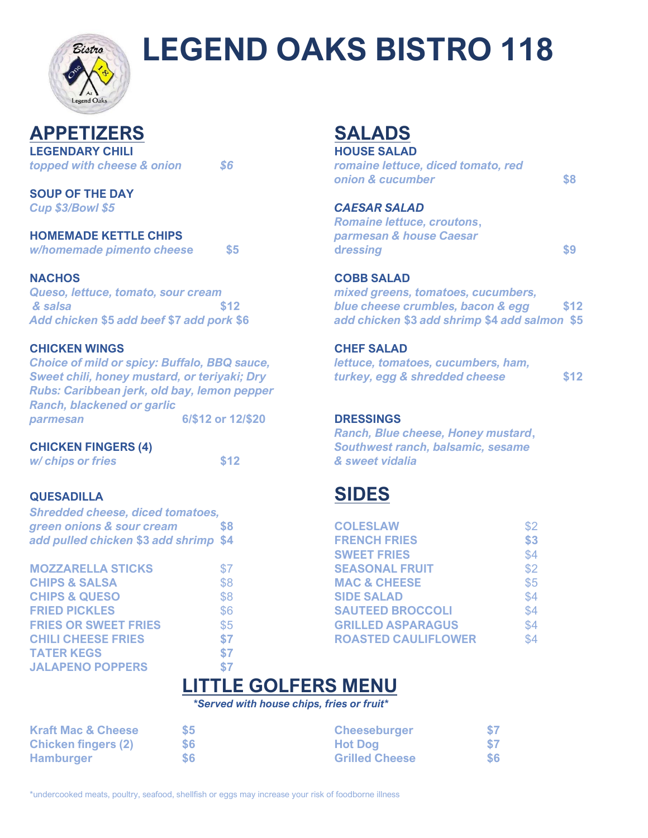

# **LEGEND OAKS BISTRO 118**

**APPETIZERS SALADS LEGENDARY CHILI EXECUTE: HOUSE SALAD** 

**SOUP OF THE DAY**

*Queso, lettuce, tomato, sour cream mixed greens, tomatoes, cucumbers,*

### **CHICKEN WINGS CHEF SALAD**

*Choice of mild or spicy: Buffalo, BBQ sauce, lettuce, tomatoes, cucumbers, ham, Rubs: Caribbean jerk, old bay, lemon pepper Ranch, blackened or garlic parmesan* **6/\$12 or 12/\$20 DRESSINGS**

*Shredded cheese, diced tomatoes,* **green onions & sour cream** \$8 **add pulled chicken \$3 add shrimp \$4** 

| <b>MOZZARELLA STICKS</b>    | \$7 |
|-----------------------------|-----|
| <b>CHIPS &amp; SALSA</b>    | \$8 |
| <b>CHIPS &amp; QUESO</b>    | \$8 |
| <b>FRIED PICKLES</b>        | \$6 |
| <b>FRIES OR SWEET FRIES</b> | \$5 |
| <b>CHILI CHEESE FRIES</b>   | \$7 |
| <b>TATER KEGS</b>           | \$7 |
| <b>JALAPENO POPPERS</b>     | \$7 |

*topped with cheese & onion \$6 romaine lettuce, diced tomato, red onion & cucumber* **\$8**

### *Cup \$3/Bowl \$5 CAESAR SALAD*

|                              |             | <b>Romaine lettuce, croutons,</b> |  |
|------------------------------|-------------|-----------------------------------|--|
| <b>HOMEMADE KETTLE CHIPS</b> |             | parmesan & house Caesar           |  |
| w/homemade pimento cheese    | $\sqrt{55}$ | dressing                          |  |

### **NACHOS COBB SALAD**

*& salsa* **\$12** *blue cheese crumbles, bacon & egg* **\$12** *Add chicken* **\$5** *add beef* **\$7** *add pork* **\$6** *add chicken* **\$3** *add shrimp* **\$4** *add salmon* **\$5**

*Sweet chili, honey mustard, or teriyaki; Dry turkey, egg & shredded cheese* **\$12**

*Ranch, Blue cheese, Honey mustard***, CHICKEN FINGERS (4)** *Southwest ranch, balsamic, sesame w/ chips or fries* **\$12** *& sweet vidalia*

## **QUESADILLA SIDES**

| green onions & sour cream             | \$8 | <b>COLESLAW</b>            | \$2 |
|---------------------------------------|-----|----------------------------|-----|
| add pulled chicken \$3 add shrimp \$4 |     | <b>FRENCH FRIES</b>        | \$3 |
|                                       |     | <b>SWEET FRIES</b>         | \$4 |
| <b>MOZZARELLA STICKS</b>              | \$7 | <b>SEASONAL FRUIT</b>      | \$2 |
| <b>CHIPS &amp; SALSA</b>              | \$8 | <b>MAC &amp; CHEESE</b>    | \$5 |
| <b>CHIPS &amp; QUESO</b>              | \$8 | <b>SIDE SALAD</b>          | \$4 |
| <b>FRIED PICKLES</b>                  | \$6 | <b>SAUTEED BROCCOLI</b>    | \$4 |
| <b>FRIES OR SWEET FRIES</b>           | \$5 | <b>GRILLED ASPARAGUS</b>   | \$4 |
| <b>CHILI CHEESE FRIES</b>             | \$7 | <b>ROASTED CAULIFLOWER</b> | \$4 |
|                                       |     |                            |     |

# **LITTLE GOLFERS MENU**

**\****Served with house chips, fries or fruit\**

| <b>Kraft Mac &amp; Cheese</b> | $\mathbf{S}5$ | <b>Cheeseburger</b>   | \$7 |
|-------------------------------|---------------|-----------------------|-----|
| <b>Chicken fingers (2)</b>    | \$6           | <b>Hot Dog</b>        | \$7 |
| <b>Hamburger</b>              | \$6           | <b>Grilled Cheese</b> | \$6 |